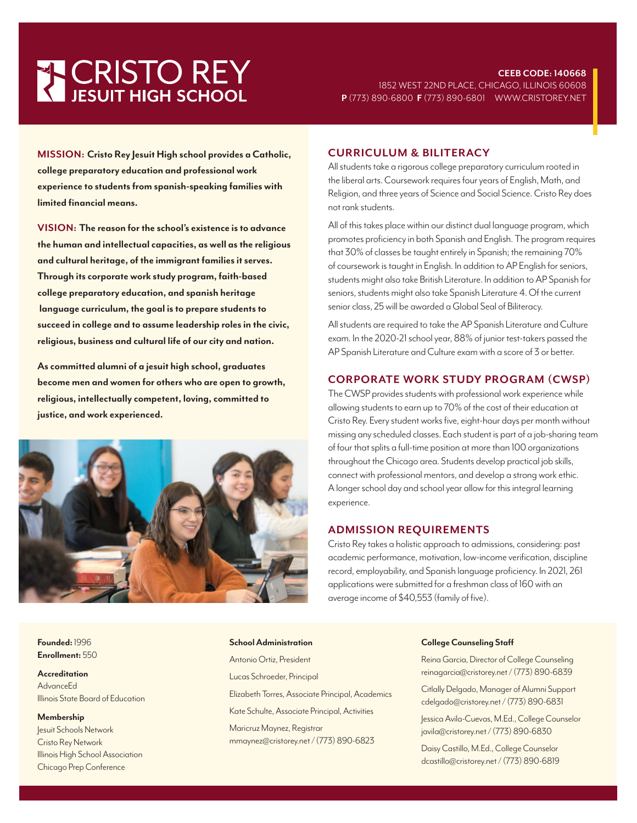# **THE CRISTO REY**

**MISSION: Cristo Rey Jesuit High school provides a Catholic, college preparatory education and professional work experience to students from spanish-speaking families with limited financial means.**

**VISION: The reason for the school's existence is to advance the human and intellectual capacities, as well as the religious and cultural heritage, of the immigrant families it serves. Through its corporate work study program, faith-based college preparatory education, and spanish heritage language curriculum, the goal is to prepare students to succeed in college and to assume leadership roles in the civic, religious, business and cultural life of our city and nation.** 

**As committed alumni of a jesuit high school, graduates become men and women for others who are open to growth, religious, intellectually competent, loving, committed to justice, and work experienced.**



#### **CURRICULUM & BILITERACY**

All students take a rigorous college preparatory curriculum rooted in the liberal arts. Coursework requires four years of English, Math, and Religion, and three years of Science and Social Science. Cristo Rey does not rank students.

All of this takes place within our distinct dual language program, which promotes proficiency in both Spanish and English. The program requires that 30% of classes be taught entirely in Spanish; the remaining 70% of coursework is taught in English. In addition to AP English for seniors, students might also take British Literature. In addition to AP Spanish for seniors, students might also take Spanish Literature 4. Of the current senior class, 25 will be awarded a Global Seal of Biliteracy.

All students are required to take the AP Spanish Literature and Culture exam. In the 2020-21 school year, 88% of junior test-takers passed the AP Spanish Literature and Culture exam with a score of 3 or better.

### **CORPORATE WORK STUDY PROGRAM (CWSP)**

The CWSP provides students with professional work experience while allowing students to earn up to 70% of the cost of their education at Cristo Rey. Every student works five, eight-hour days per month without missing any scheduled classes. Each student is part of a job-sharing team of four that splits a full-time position at more than 100 organizations throughout the Chicago area. Students develop practical job skills, connect with professional mentors, and develop a strong work ethic. A longer school day and school year allow for this integral learning experience.

#### **ADMISSION REQUIREMENTS**

Cristo Rey takes a holistic approach to admissions, considering: past academic performance, motivation, low-income verification, discipline record, employability, and Spanish language proficiency. In 2021, 261 applications were submitted for a freshman class of 160 with an average income of \$40,553 (family of five).

**Founded:** 1996 **Enrollment:** 550

**Accreditation** AdvanceEd Illinois State Board of Education

**Membership** Jesuit Schools Network Cristo Rey Network Illinois High School Association Chicago Prep Conference

Antonio Ortiz, President Lucas Schroeder, Principal Elizabeth Torres, Associate Principal, Academics Kate Schulte, Associate Principal, Activities Maricruz Maynez, Registrar mmaynez@cristorey.net / (773) 890-6823

**School Administration**

#### **College Counseling Staff**

Reina Garcia, Director of College Counseling reinagarcia@cristorey.net / (773) 890-6839

Citlally Delgado, Manager of Alumni Support cdelgado@cristorey.net / (773) 890-6831

Jessica Avila-Cuevas, M.Ed., College Counselor javila@cristorey.net / (773) 890-6830

Daisy Castillo, M.Ed., College Counselor dcastillo@cristorey.net / (773) 890-6819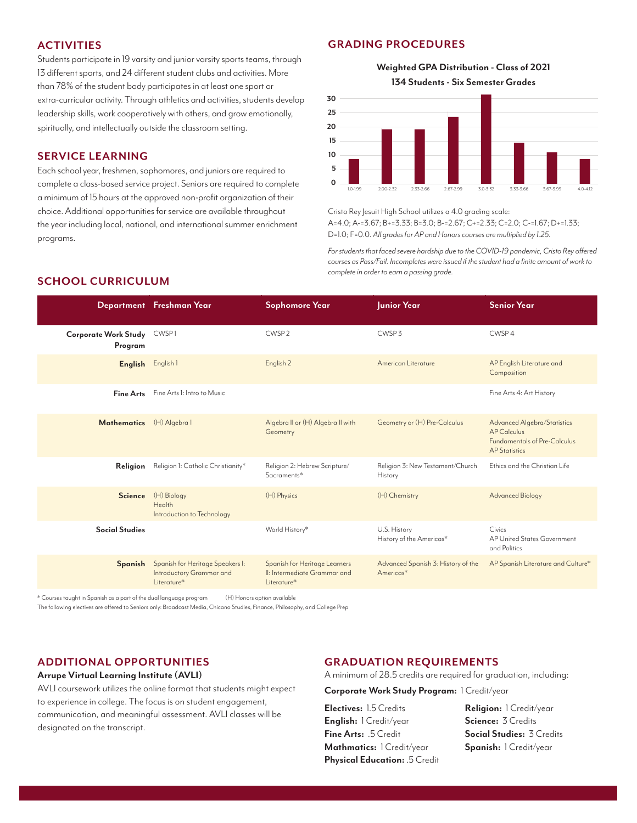## **ACTIVITIES**

Students participate in 19 varsity and junior varsity sports teams, through 13 different sports, and 24 different student clubs and activities. More than 78% of the student body participates in at least one sport or extra-curricular activity. Through athletics and activities, students develop leadership skills, work cooperatively with others, and grow emotionally, spiritually, and intellectually outside the classroom setting.

#### **SERVICE LEARNING**

Each school year, freshmen, sophomores, and juniors are required to complete a class-based service project. Seniors are required to complete a minimum of 15 hours at the approved non-profit organization of their choice. Additional opportunities for service are available throughout the year including local, national, and international summer enrichment programs.

#### **GRADING PROCEDURES**

**Weighted GPA Distribution - Class of 2021 134 Students - Six Semester Grades**



Cristo Rey Jesuit High School utilizes a 4.0 grading scale: A=4.0; A-=3.67; B+=3.33; B=3.0; B-=2.67; C+=2.33; C=2.0; C-=1.67; D+=1.33; D=1.0; F=0.0. *All grades for AP and Honors courses are multiplied by 1.25.*

*For students that faced severe hardship due to the COVID-19 pandemic, Cristo Rey offered courses as Pass/Fail. Incompletes were issued if the student had a finite amount of work to complete in order to earn a passing grade.*

## **SCHOOL CURRICULUM**

|                                 | Department Freshman Year                                                    | <b>Sophomore Year</b>                                                        | Junior Year                                     | <b>Senior Year</b>                                                                                                      |
|---------------------------------|-----------------------------------------------------------------------------|------------------------------------------------------------------------------|-------------------------------------------------|-------------------------------------------------------------------------------------------------------------------------|
| Corporate Work Study<br>Program | CWSP1                                                                       | CWSP <sub>2</sub>                                                            | CWSP <sub>3</sub>                               | CWSP4                                                                                                                   |
| English                         | English 1                                                                   | English <sub>2</sub>                                                         | American Literature                             | AP English Literature and<br>Composition                                                                                |
| <b>Fine Arts</b>                | Fine Arts I: Intro to Music                                                 |                                                                              |                                                 | Fine Arts 4: Art History                                                                                                |
| <b>Mathematics</b>              | (H) Algebra 1                                                               | Algebra II or (H) Algebra II with<br>Geometry                                | Geometry or (H) Pre-Calculus                    | <b>Advanced Algebra/Statistics</b><br><b>AP Calculus</b><br><b>Fundamentals of Pre-Calculus</b><br><b>AP Statistics</b> |
| Religion                        | Religion 1: Catholic Christianity*                                          | Religion 2: Hebrew Scripture/<br>Sacraments*                                 | Religion 3: New Testament/Church<br>History     | Ethics and the Christian Life                                                                                           |
| <b>Science</b>                  | (H) Biology<br>Health<br>Introduction to Technology                         | (H) Physics                                                                  | (H) Chemistry                                   | <b>Advanced Biology</b>                                                                                                 |
| <b>Social Studies</b>           |                                                                             | World History*                                                               | U.S. History<br>History of the Americas*        | Civics<br>AP United States Government<br>and Politics                                                                   |
| Spanish                         | Spanish for Heritage Speakers I:<br>Introductory Grammar and<br>Literature* | Spanish for Heritage Learners<br>II: Intermediate Grammar and<br>Literature* | Advanced Spanish 3: History of the<br>Americas* | AP Spanish Literature and Culture*                                                                                      |

\* Courses taught in Spanish as a part of the dual language program (H) Honors option available

The following electives are offered to Seniors only: Broadcast Media, Chicano Studies, Finance, Philosophy, and College Prep

#### **ADDITIONAL OPPORTUNITIES**

#### **Arrupe Virtual Learning Institute (AVLI)**

AVLI coursework utilizes the online format that students might expect to experience in college. The focus is on student engagement, communication, and meaningful assessment. AVLI classes will be designated on the transcript.

#### **GRADUATION REQUIREMENTS**

A minimum of 28.5 credits are required for graduation, including:

**Corporate Work Study Program:** 1 Credit/year

**Electives:** 1.5 Credits **English:** 1 Credit/year **Fine Arts:** .5 Credit **Mathmatics:** 1 Credit/year **Physical Education:** .5 Credit **Religion:** 1 Credit/year **Science:** 3 Credits **Social Studies:** 3 Credits **Spanish:** 1 Credit/year